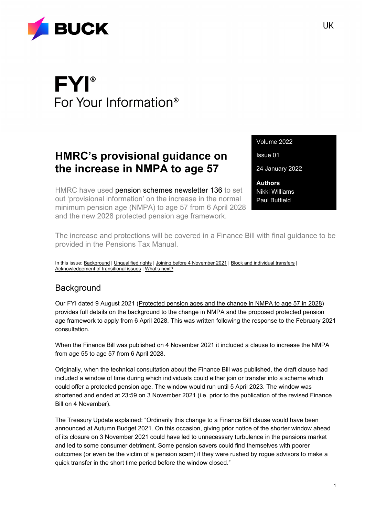

# **FYI**® For Your Information<sup>®</sup>

## **HMRC's provisional guidance on the increase in NMPA to age 57**

HMRC have used [pension schemes newsletter 136](https://www.gov.uk/government/publications/pension-schemes-newsletter-136-january-2022) to set out 'provisional information' on the increase in the normal minimum pension age (NMPA) to age 57 from 6 April 2028 and the new 2028 protected pension age framework.

Volume 2022

Issue 01

24 January 2022

**Authors** Nikki Williams Paul Butfield

The increase and protections will be covered in a Finance Bill with final guidance to be provided in the Pensions Tax Manual.

In this issue: [Background](#page-0-0) | [Unqualified rights](#page-1-0) [| Joining before 4 November 2021](#page-1-1) | [Block and individual transfers](#page-1-2) | [Acknowledgement of transitional issues](#page-1-3) [| What's next?](#page-2-0)

#### <span id="page-0-0"></span>**Background**

Our FYI dated 9 August 2021 [\(Protected pension ages and the change in NMPA to age 57 in 2028\)](https://buck.com/protected-pension-ages-and-the-change-in-nmpa-to-age-57-in-2028/) provides full details on the background to the change in NMPA and the proposed protected pension age framework to apply from 6 April 2028. This was written following the response to the February 2021 consultation.

When the Finance Bill was published on 4 November 2021 it included a clause to increase the NMPA from age 55 to age 57 from 6 April 2028.

Originally, when the technical consultation about the Finance Bill was published, the draft clause had included a window of time during which individuals could either join or transfer into a scheme which could offer a protected pension age. The window would run until 5 April 2023. The window was shortened and ended at 23:59 on 3 November 2021 (i.e. prior to the publication of the revised Finance Bill on 4 November).

The Treasury Update explained: "Ordinarily this change to a Finance Bill clause would have been announced at Autumn Budget 2021. On this occasion, giving prior notice of the shorter window ahead of its closure on 3 November 2021 could have led to unnecessary turbulence in the pensions market and led to some consumer detriment. Some pension savers could find themselves with poorer outcomes (or even be the victim of a pension scam) if they were rushed by rogue advisors to make a quick transfer in the short time period before the window closed."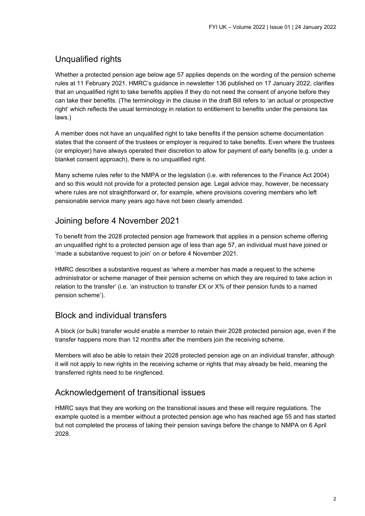### <span id="page-1-0"></span>Unqualified rights

Whether a protected pension age below age 57 applies depends on the wording of the pension scheme rules at 11 February 2021. HMRC's guidance in newsletter 136 published on 17 January 2022, clarifies that an unqualified right to take benefits applies if they do not need the consent of anyone before they can take their benefits. (The terminology in the clause in the draft Bill refers to 'an actual or prospective right' which reflects the usual terminology in relation to entitlement to benefits under the pensions tax laws.)

A member does not have an unqualified right to take benefits if the pension scheme documentation states that the consent of the trustees or employer is required to take benefits. Even where the trustees (or employer) have always operated their discretion to allow for payment of early benefits (e.g. under a blanket consent approach), there is no unqualified right.

Many scheme rules refer to the NMPA or the legislation (i.e. with references to the Finance Act 2004) and so this would not provide for a protected pension age. Legal advice may, however, be necessary where rules are not straightforward or, for example, where provisions covering members who left pensionable service many years ago have not been clearly amended.

#### <span id="page-1-1"></span>Joining before 4 November 2021

To benefit from the 2028 protected pension age framework that applies in a pension scheme offering an unqualified right to a protected pension age of less than age 57, an individual must have joined or 'made a substantive request to join' on or before 4 November 2021.

HMRC describes a substantive request as 'where a member has made a request to the scheme administrator or scheme manager of their pension scheme on which they are required to take action in relation to the transfer' (i.e. 'an instruction to transfer £X or X% of their pension funds to a named pension scheme').

#### <span id="page-1-2"></span>Block and individual transfers

A block (or bulk) transfer would enable a member to retain their 2028 protected pension age, even if the transfer happens more than 12 months after the members join the receiving scheme.

Members will also be able to retain their 2028 protected pension age on an individual transfer, although it will not apply to new rights in the receiving scheme or rights that may already be held, meaning the transferred rights need to be ringfenced.

#### <span id="page-1-3"></span>Acknowledgement of transitional issues

HMRC says that they are working on the transitional issues and these will require regulations. The example quoted is a member without a protected pension age who has reached age 55 and has started but not completed the process of taking their pension savings before the change to NMPA on 6 April 2028.